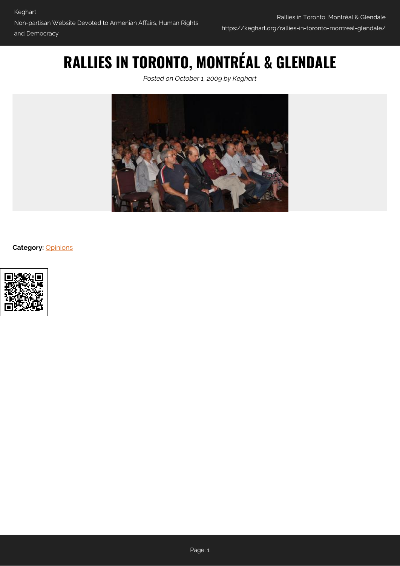# **RALLIES IN TORONTO, MONTRÉAL & GLENDALE**

*Posted on October 1, 2009 by Keghart*



**Category:** [Opinions](https://keghart.org/category/opinions/)

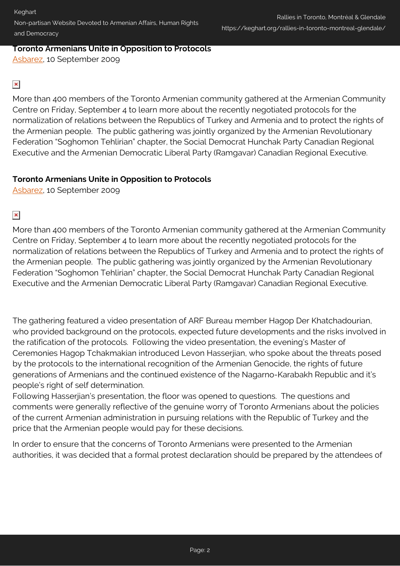### **Toronto Armenians Unite in Opposition to Protocols**

[Asbarez,](http://www.asbarez.com/2009/09/10/toronto-armenians-unite-in-opposition-to-protocols/) 10 September 2009

# $\pmb{\times}$

More than 400 members of the Toronto Armenian community gathered at the Armenian Community Centre on Friday, September 4 to learn more about the recently negotiated protocols for the normalization of relations between the Republics of Turkey and Armenia and to protect the rights of the Armenian people. The public gathering was jointly organized by the Armenian Revolutionary Federation "Soghomon Tehlirian" chapter, the Social Democrat Hunchak Party Canadian Regional Executive and the Armenian Democratic Liberal Party (Ramgavar) Canadian Regional Executive.

# **Toronto Armenians Unite in Opposition to Protocols**

[Asbarez,](http://www.asbarez.com/2009/09/10/toronto-armenians-unite-in-opposition-to-protocols/) 10 September 2009

 $\pmb{\times}$ 

More than 400 members of the Toronto Armenian community gathered at the Armenian Community Centre on Friday, September 4 to learn more about the recently negotiated protocols for the normalization of relations between the Republics of Turkey and Armenia and to protect the rights of the Armenian people. The public gathering was jointly organized by the Armenian Revolutionary Federation "Soghomon Tehlirian" chapter, the Social Democrat Hunchak Party Canadian Regional Executive and the Armenian Democratic Liberal Party (Ramgavar) Canadian Regional Executive.

The gathering featured a video presentation of ARF Bureau member Hagop Der Khatchadourian, who provided background on the protocols, expected future developments and the risks involved in the ratification of the protocols. Following the video presentation, the evening's Master of Ceremonies Hagop Tchakmakian introduced Levon Hasserjian, who spoke about the threats posed by the protocols to the international recognition of the Armenian Genocide, the rights of future generations of Armenians and the continued existence of the Nagarno-Karabakh Republic and it's people's right of self determination.

Following Hasserjian's presentation, the floor was opened to questions. The questions and comments were generally reflective of the genuine worry of Toronto Armenians about the policies of the current Armenian administration in pursuing relations with the Republic of Turkey and the price that the Armenian people would pay for these decisions.

In order to ensure that the concerns of Toronto Armenians were presented to the Armenian authorities, it was decided that a formal protest declaration should be prepared by the attendees of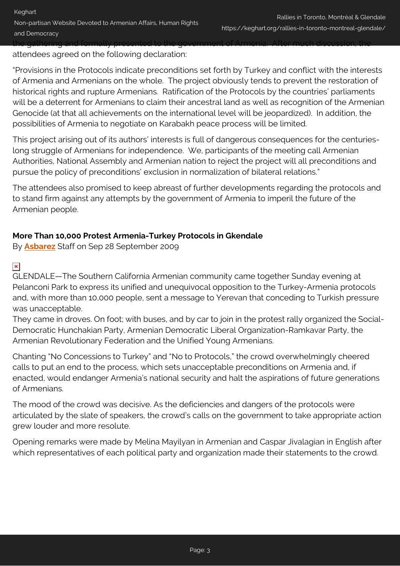the gathering and formally presented to the government of Armenia. After much discussion, the attendees agreed on the following declaration:

"Provisions in the Protocols indicate preconditions set forth by Turkey and conflict with the interests of Armenia and Armenians on the whole. The project obviously tends to prevent the restoration of historical rights and rupture Armenians. Ratification of the Protocols by the countries' parliaments will be a deterrent for Armenians to claim their ancestral land as well as recognition of the Armenian Genocide (at that all achievements on the international level will be jeopardized). In addition, the possibilities of Armenia to negotiate on Karabakh peace process will be limited.

This project arising out of its authors' interests is full of dangerous consequences for the centurieslong struggle of Armenians for independence. We, participants of the meeting call Armenian Authorities, National Assembly and Armenian nation to reject the project will all preconditions and pursue the policy of preconditions' exclusion in normalization of bilateral relations."

The attendees also promised to keep abreast of further developments regarding the protocols and to stand firm against any attempts by the government of Armenia to imperil the future of the Armenian people.

### **More Than 10,000 Protest Armenia-Turkey Protocols in Gkendale**

By **[Asbarez](http://www.asbarez.com/2009/09/28/more-than-10000-protest-armenia-turkey-protocols/)** Staff on Sep 28 September 2009

# $\pmb{\times}$

GLENDALE—The Southern California Armenian community came together Sunday evening at Pelanconi Park to express its unified and unequivocal opposition to the Turkey-Armenia protocols and, with more than 10,000 people, sent a message to Yerevan that conceding to Turkish pressure was unacceptable.

They came in droves. On foot; with buses, and by car to join in the protest rally organized the Social-Democratic Hunchakian Party, Armenian Democratic Liberal Organization-Ramkavar Party, the Armenian Revolutionary Federation and the Unified Young Armenians.

Chanting "No Concessions to Turkey" and "No to Protocols," the crowd overwhelmingly cheered calls to put an end to the process, which sets unacceptable preconditions on Armenia and, if enacted, would endanger Armenia's national security and halt the aspirations of future generations of Armenians.

The mood of the crowd was decisive. As the deficiencies and dangers of the protocols were articulated by the slate of speakers, the crowd's calls on the government to take appropriate action grew louder and more resolute.

Opening remarks were made by Melina Mayilyan in Armenian and Caspar Jivalagian in English after which representatives of each political party and organization made their statements to the crowd.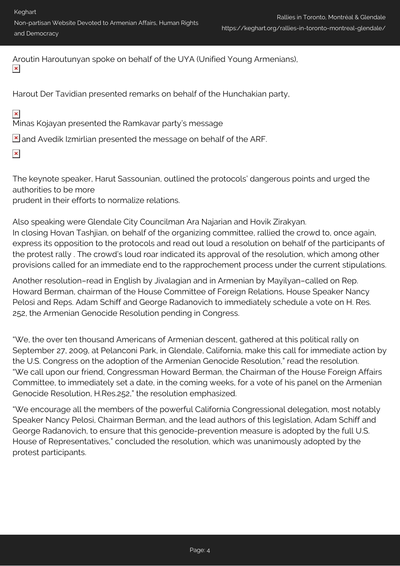Keghart Non-partisan Website Devoted to Armenian Affairs, Human Rights and Democracy

Aroutin Haroutunyan spoke on behalf of the UYA (Unified Young Armenians),  $\pmb{\times}$ 

Harout Der Tavidian presented remarks on behalf of the Hunchakian party,

 $\pmb{\times}$ 

Minas Kojayan presented the Ramkavar party's message

 $\geq$  and Avedik Izmirlian presented the message on behalf of the ARF.

 $\pmb{\times}$ 

The keynote speaker, Harut Sassounian, outlined the protocols' dangerous points and urged the authorities to be more

prudent in their efforts to normalize relations.

Also speaking were Glendale City Councilman Ara Najarian and Hovik Zirakyan. In closing Hovan Tashjian, on behalf of the organizing committee, rallied the crowd to, once again, express its opposition to the protocols and read out loud a resolution on behalf of the participants of the protest rally . The crowd's loud roar indicated its approval of the resolution, which among other provisions called for an immediate end to the rapprochement process under the current stipulations.

Another resolution–read in English by Jivalagian and in Armenian by Mayilyan–called on Rep. Howard Berman, chairman of the House Committee of Foreign Relations, House Speaker Nancy Pelosi and Reps. Adam Schiff and George Radanovich to immediately schedule a vote on H. Res. 252, the Armenian Genocide Resolution pending in Congress.

"We, the over ten thousand Americans of Armenian descent, gathered at this political rally on September 27, 2009, at Pelanconi Park, in Glendale, California, make this call for immediate action by the U.S. Congress on the adoption of the Armenian Genocide Resolution," read the resolution. "We call upon our friend, Congressman Howard Berman, the Chairman of the House Foreign Affairs Committee, to immediately set a date, in the coming weeks, for a vote of his panel on the Armenian Genocide Resolution, H.Res.252," the resolution emphasized.

"We encourage all the members of the powerful California Congressional delegation, most notably Speaker Nancy Pelosi, Chairman Berman, and the lead authors of this legislation, Adam Schiff and George Radanovich, to ensure that this genocide-prevention measure is adopted by the full U.S. House of Representatives," concluded the resolution, which was unanimously adopted by the protest participants.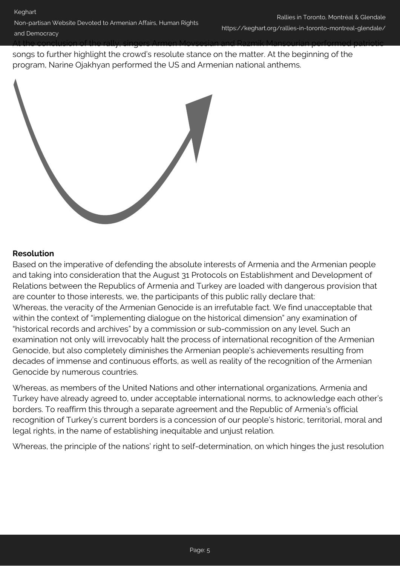At the conclusion of the rally, singers Armen Movsesian and Razmik Mansourian performed patriotic songs to further highlight the crowd's resolute stance on the matter. At the beginning of the program, Narine Ojakhyan performed the US and Armenian national anthems.



### **Resolution**

Based on the imperative of defending the absolute interests of Armenia and the Armenian people and taking into consideration that the August 31 Protocols on Establishment and Development of Relations between the Republics of Armenia and Turkey are loaded with dangerous provision that are counter to those interests, we, the participants of this public rally declare that: Whereas, the veracity of the Armenian Genocide is an irrefutable fact. We find unacceptable that within the context of "implementing dialogue on the historical dimension" any examination of "historical records and archives" by a commission or sub-commission on any level. Such an examination not only will irrevocably halt the process of international recognition of the Armenian Genocide, but also completely diminishes the Armenian people's achievements resulting from decades of immense and continuous efforts, as well as reality of the recognition of the Armenian Genocide by numerous countries.

Whereas, as members of the United Nations and other international organizations, Armenia and Turkey have already agreed to, under acceptable international norms, to acknowledge each other's borders. To reaffirm this through a separate agreement and the Republic of Armenia's official recognition of Turkey's current borders is a concession of our people's historic, territorial, moral and legal rights, in the name of establishing inequitable and unjust relation.

Whereas, the principle of the nations' right to self-determination, on which hinges the just resolution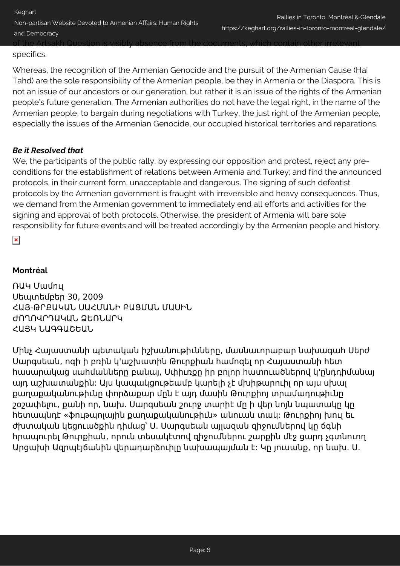Keghart Non-partisan Website Devoted to Armenian Affairs, Human Rights and Democracy Rallies in Toronto, Montréal & Glendale https://keghart.org/rallies-in-toronto-montreal-glendale/ of the Artsakh Question is visibly absence from the documents, which contain other irrelevant

#### specifics.

Whereas, the recognition of the Armenian Genocide and the pursuit of the Armenian Cause (Hai Tahd) are the sole responsibility of the Armenian people, be they in Armenia or the Diaspora. This is not an issue of our ancestors or our generation, but rather it is an issue of the rights of the Armenian people's future generation. The Armenian authorities do not have the legal right, in the name of the Armenian people, to bargain during negotiations with Turkey, the just right of the Armenian people, especially the issues of the Armenian Genocide, our occupied historical territories and reparations.

# *Be it Resolved that*

We, the participants of the public rally, by expressing our opposition and protest, reject any preconditions for the establishment of relations between Armenia and Turkey; and find the announced protocols, in their current form, unacceptable and dangerous. The signing of such defeatist protocols by the Armenian government is fraught with irreversible and heavy consequences. Thus, we demand from the Armenian government to immediately end all efforts and activities for the signing and approval of both protocols. Otherwise, the president of Armenia will bare sole responsibility for future events and will be treated accordingly by the Armenian people and history.

 $\pmb{\times}$ 

# **Montréal**

ՌԱԿ Մամուլ Սեպտեմբեր 30, 2009 ՀԱՅ-ԹՐՔԱԿԱՆ ՍԱՀՄԱՆԻ ԲԱՑՄԱՆ ՄԱՍԻՆ ԺՈՂՈՎՐԴԱԿԱՆ ՁԵՌՆԱՐԿ ՀԱՅԿ ՆԱԳԳԱՇԵԱՆ

Մինչ Հայաստանի պետական իշխանութիւնները, մասնաւորաբար նախագահ Սերժ Սարգսեան, ոգի ի բռին կ'աշխատին Թուրքիան համոզել որ Հայաստանի հետ հասարակաց սահմանները բանայ, Սփիւռքը իր բոլոր հատուածներով կ'ընդդիմանայ այդ աշխատանքին: Այս կապակցութեամբ կարելի չէ մխիթարուիլ որ այս սխալ քաղաքականութիւնը փորձաքար մըն է այդ մասին Թուրքիոյ տրամադութիւնը շօշափելու, քանի որ, նախ. Սարգսեան շուրջ տարիէ մը ի վեր նոյն նպատակը կը հետապնդէ «ֆութպոլային քաղաքականութիւն» անուան տակ: Թուրքիոյ խուլ եւ ժխտական կեցուածքին դիմաց՝ Ս. Սարգսեան այլազան զիջումներով կը ճգնի հրապուրել Թուրքիան, որուն տեսակէտով զիջումներու շարքին մէջ ցարդ չգտնուող Արցախի Ազրպէյճանին վերադարձուիլը նախապայման է: Կը յուսանք, որ նախ. Ս.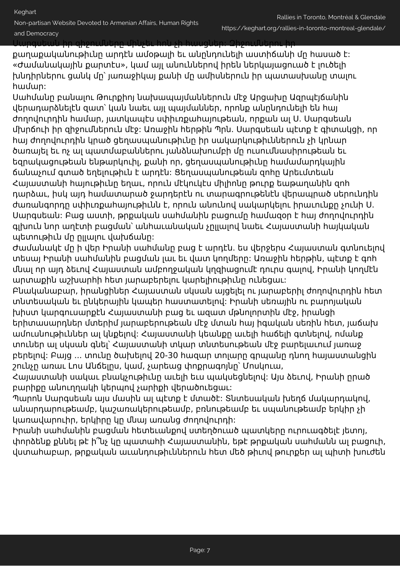Non-partisan Website Devoted to Armenian Affairs, Human Rights

and Democracy

Սարգսեան իր զիջումները մինչեւ հոն չի հասցներ: Զիջումներու իր

քաղաքականութիւնը արդէն ամօթալի եւ անընդունելի աստիճանի մը հասած է: «Ժամանակային քարտէս», կամ այլ անուններով իրեն ներկայացուած է լուծելի խնդիրներու ցանկ մը՝ յառաջիկայ քանի մը ամիսներուն իր պատասխանը տալու համար:

Սահմանը բանալու Թուրքիոյ նախապայմաններուն մէջ Արցախը Ազրպէյճանին վերադարձնելէն զատ՝ կան նաեւ այլ պայմաններ, որոնք անընդունելի են հայ ժողովուրդին համար, յատկապէս սփիւռքահայութեան, որքան ալ Ս. Սարգսեան մխրճուի իր զիջումներուն մէջ: Առաջին հերթին Պրն. Սարգսեան պէտք է գիտակցի, որ հայ ժողովուրդին կրած ցեղասպանութիւնը իր սակարկութիւններուն չի կրնար ծառայել եւ ոչ ալ պատմաբաններու յանձնախումբի մը ուսումնասիրութեան եւ եզրակացութեան ենթարկուիլ, քանի որ, ցեղասպանութիւնը համամարդկային ճանաչում գտած եղելութիւն է արդէն: Ցեղասպանութեան զոհը Արեւմտեան Հայաստանի հայութիւնը եղաւ, որուն մէկուկէս միլիոնը թուրք եաթաղանին զոհ դարձաւ, իսկ այդ համատարած ջարդերէն ու տարագրութենէն վերապրած սերունդին ժառանգորդը սփիւռքահայութիւնն է, որուն անունով սակարկելու իրաւունքը չունի Ս. Սարգսեան: Բաց աստի, թրքական սահմանին բացումը համազօր է հայ ժողովուրդին գլխուն նոր աղէտի բացման՝ անհաւանական չըլլալով նաեւ Հայաստանի հայկական պետութիւն մը ըլլալու վախճանը:

Ժամանակէ մը ի վեր Իրանի սահմանը բաց է արդէն. ես վերջերս Հայաստան գտնուելով տեսայ Իրանի սահմանին բացման լաւ եւ վատ կողմերը: Առաջին հերթին, պէտք է գոհ մնալ որ այդ ձեւով Հայաստան ամբողջական կղզիացումէ դուրս գալով, Իրանի կողմէն արտաքին աշխարհի հետ յարաբերելու կարելիութիւնը ունեցաւ:

Բնականաբար, իրանցիներ Հայաստան սկսան այցելել ու յարաբերիլ ժողովուրդին հետ տնտեսական եւ ընկերային կապեր հաստատելով: Իրանի սեռային ու բարոյական խիստ կարգուսարքէն Հայաստանի բաց եւ ազատ մթնոլորտին մէջ, իրանցի երիտասարդներ մտերիմ յարաբերութեան մէջ մտան հայ իգական սեռին հետ, յաճախ ամուսնութիւններ ալ կնքելով: Հայաստանի կեանքը աւելի հաճելի գտնելով, ոմանք տուներ ալ սկսան գնել՝ Հայաստանի տկար տնտեսութեան մէջ բարելաւում յառաջ բերելով: Բայց ... տունը ծախելով 20-30 հազար տոլարը գրպանը դնող հայաստանցին շունչը առաւ Լոս Անճելըս, կամ, չարեաց փոքրագոյնը՝ Մոսկուա,

Հայաստանի սակաւ բնակչութիւնը աւելի եւս պակսեցնելով: Այս ձեւով, Իրանի ըրած բարիքը անուղղակի կերպով չարիքի վերածուեցաւ:

Պարոն Սարգսեան այս մասին ալ պէտք է մտածէ: Տնտեսական խեղճ մակարդակով, անարդարութեամբ, կաշառակերութեամբ, բռնութեամբ եւ սպանութեամբ երկիր չի կառավարուիր, երկիրը կը մնայ առանց ժողովուրդի:

Իրանի սահմանին բացման հետեւանքով ստեղծուած պատկերը ուրուագծելէ յետոյ, փորձենք քննել թէ ի՞նչ կը պատահի Հայաստանին, եթէ թրքական սահմանն ալ բացուի, վստահաբար, թրքական աւանդութիւններուն հետ մեծ թիւով թուրքեր ալ պիտի խուժեն